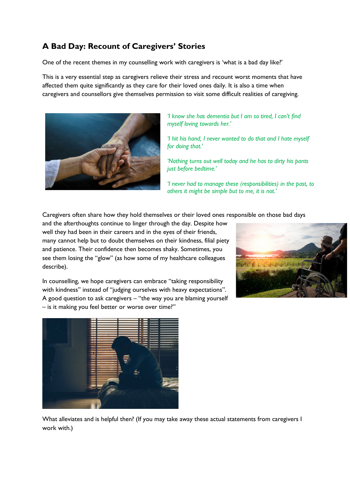## **A Bad Day: Recount of Caregivers' Stories**

One of the recent themes in my counselling work with caregivers is 'what is a bad day like?'

This is a very essential step as caregivers relieve their stress and recount worst moments that have affected them quite significantly as they care for their loved ones daily. It is also a time when caregivers and counsellors give themselves permission to visit some difficult realities of caregiving.



*'I know she has dementia but I am so tired, I can't find myself loving towards her.'*

*'I hit his hand, I never wanted to do that and I hate myself for doing that.'*

*'Nothing turns out well today and he has to dirty his pants just before bedtime.'*

*'I never had to manage these (responsibilities) in the past, to others it might be simple but to me, it is not.'*

Caregivers often share how they hold themselves or their loved ones responsible on those bad days

and the afterthoughts continue to linger through the day. Despite how well they had been in their careers and in the eyes of their friends, many cannot help but to doubt themselves on their kindness, filial piety and patience. Their confidence then becomes shaky. Sometimes, you see them losing the "glow" (as how some of my healthcare colleagues describe).



In counselling, we hope caregivers can embrace "taking responsibility with kindness'' instead of "judging ourselves with heavy expectations". A good question to ask caregivers – "the way you are blaming yourself – is it making you feel better or worse over time?"



What alleviates and is helpful then? (If you may take away these actual statements from caregivers I work with.)